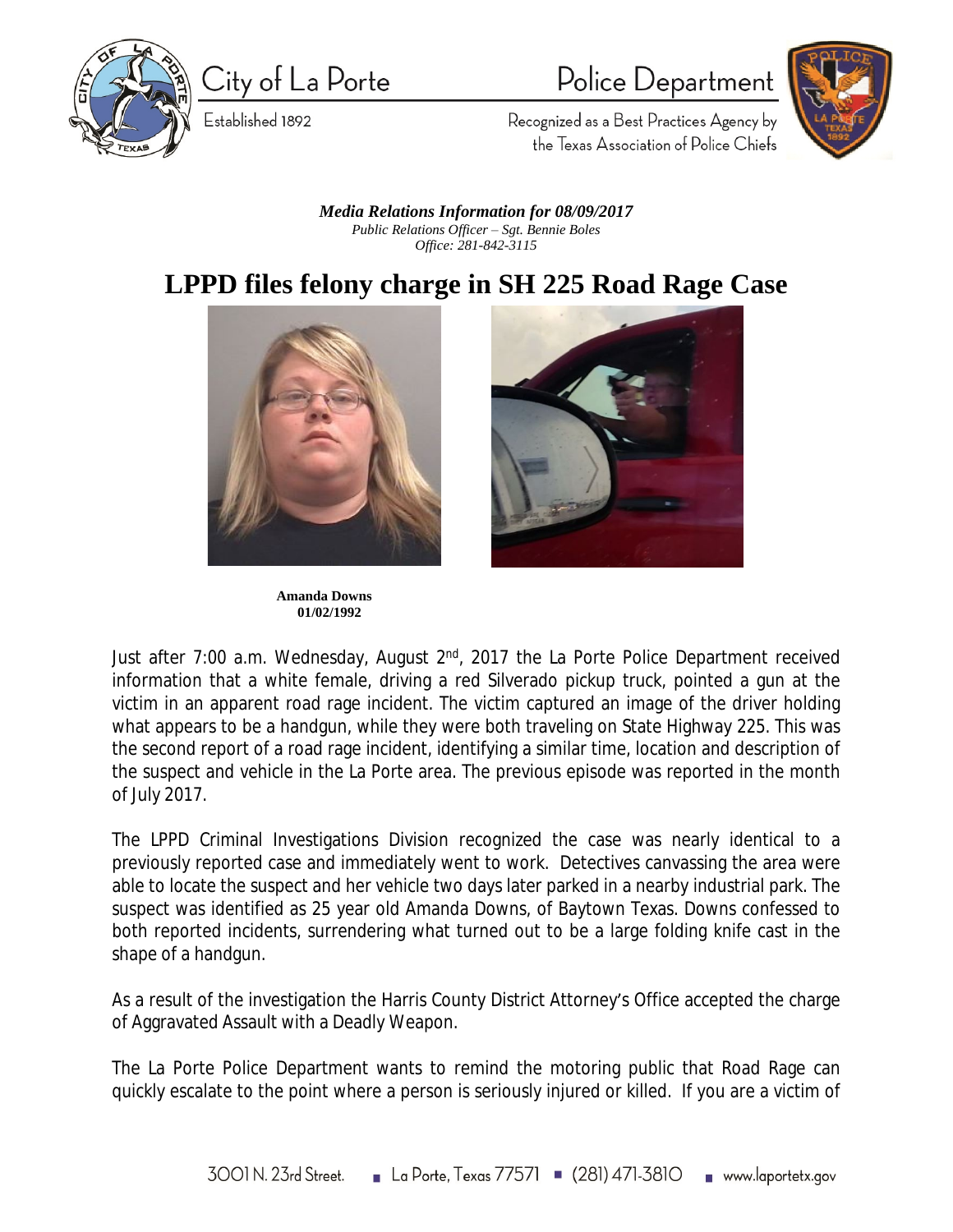

City of La Porte

Established 1892

## Police Department



Recognized as a Best Practices Agency by the Texas Association of Police Chiefs

*Media Relations Information for 08/09/2017 Public Relations Officer – Sgt. Bennie Boles Office: 281-842-3115*

## **LPPD files felony charge in SH 225 Road Rage Case**



 **Amanda Downs 01/02/1992**



Just after 7:00 a.m. Wednesday, August 2<sup>nd</sup>, 2017 the La Porte Police Department received information that a white female, driving a red Silverado pickup truck, pointed a gun at the victim in an apparent road rage incident. The victim captured an image of the driver holding what appears to be a handgun, while they were both traveling on State Highway 225. This was the second report of a road rage incident, identifying a similar time, location and description of the suspect and vehicle in the La Porte area. The previous episode was reported in the month of July 2017.

The LPPD Criminal Investigations Division recognized the case was nearly identical to a previously reported case and immediately went to work. Detectives canvassing the area were able to locate the suspect and her vehicle two days later parked in a nearby industrial park. The suspect was identified as 25 year old Amanda Downs, of Baytown Texas. Downs confessed to both reported incidents, surrendering what turned out to be a large folding knife cast in the shape of a handgun.

As a result of the investigation the Harris County District Attorney's Office accepted the charge of Aggravated Assault with a Deadly Weapon.

The La Porte Police Department wants to remind the motoring public that Road Rage can quickly escalate to the point where a person is seriously injured or killed. If you are a victim of